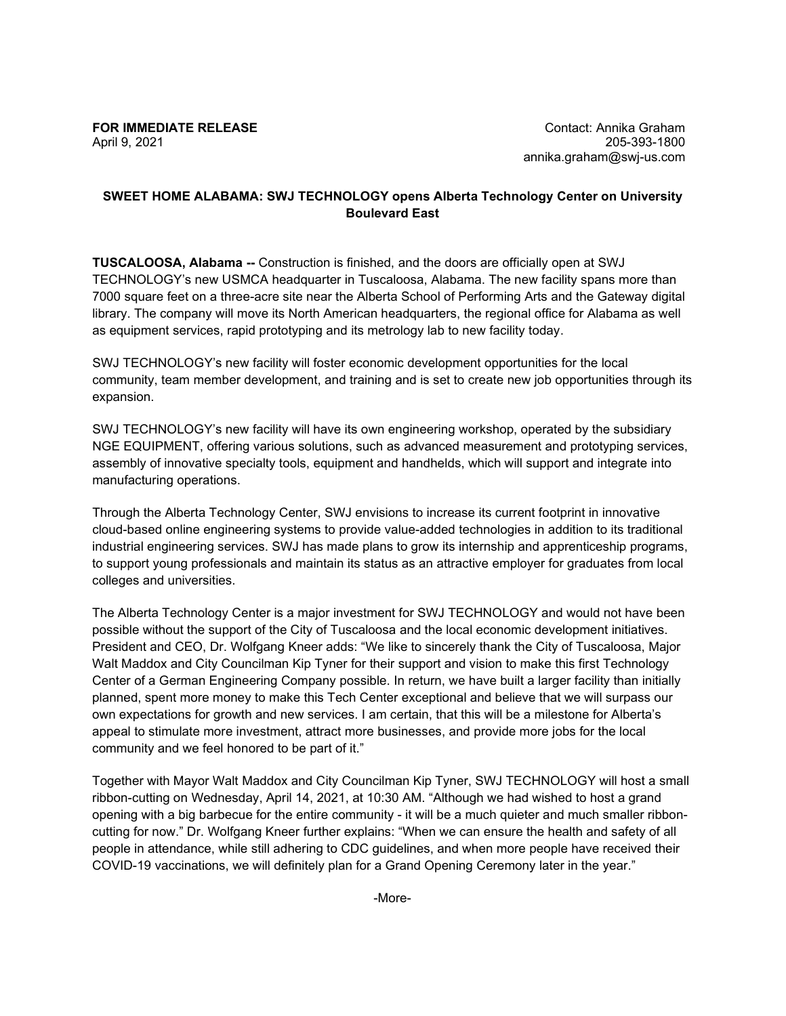## **FOR IMMEDIATE RELEASE**  April 9, 2021

## **SWEET HOME ALABAMA: SWJ TECHNOLOGY opens Alberta Technology Center on University Boulevard East**

**TUSCALOOSA, Alabama --** Construction is finished, and the doors are officially open at SWJ TECHNOLOGY's new USMCA headquarter in Tuscaloosa, Alabama. The new facility spans more than 7000 square feet on a three-acre site near the Alberta School of Performing Arts and the Gateway digital library. The company will move its North American headquarters, the regional office for Alabama as well as equipment services, rapid prototyping and its metrology lab to new facility today.

SWJ TECHNOLOGY's new facility will foster economic development opportunities for the local community, team member development, and training and is set to create new job opportunities through its expansion.

SWJ TECHNOLOGY's new facility will have its own engineering workshop, operated by the subsidiary NGE EQUIPMENT, offering various solutions, such as advanced measurement and prototyping services, assembly of innovative specialty tools, equipment and handhelds, which will support and integrate into manufacturing operations.

Through the Alberta Technology Center, SWJ envisions to increase its current footprint in innovative cloud-based online engineering systems to provide value-added technologies in addition to its traditional industrial engineering services. SWJ has made plans to grow its internship and apprenticeship programs, to support young professionals and maintain its status as an attractive employer for graduates from local colleges and universities.

The Alberta Technology Center is a major investment for SWJ TECHNOLOGY and would not have been possible without the support of the City of Tuscaloosa and the local economic development initiatives. President and CEO, Dr. Wolfgang Kneer adds: "We like to sincerely thank the City of Tuscaloosa, Major Walt Maddox and City Councilman Kip Tyner for their support and vision to make this first Technology Center of a German Engineering Company possible. In return, we have built a larger facility than initially planned, spent more money to make this Tech Center exceptional and believe that we will surpass our own expectations for growth and new services. I am certain, that this will be a milestone for Alberta's appeal to stimulate more investment, attract more businesses, and provide more jobs for the local community and we feel honored to be part of it."

Together with Mayor Walt Maddox and City Councilman Kip Tyner, SWJ TECHNOLOGY will host a small ribbon-cutting on Wednesday, April 14, 2021, at 10:30 AM. "Although we had wished to host a grand opening with a big barbecue for the entire community - it will be a much quieter and much smaller ribboncutting for now." Dr. Wolfgang Kneer further explains: "When we can ensure the health and safety of all people in attendance, while still adhering to CDC guidelines, and when more people have received their COVID-19 vaccinations, we will definitely plan for a Grand Opening Ceremony later in the year."